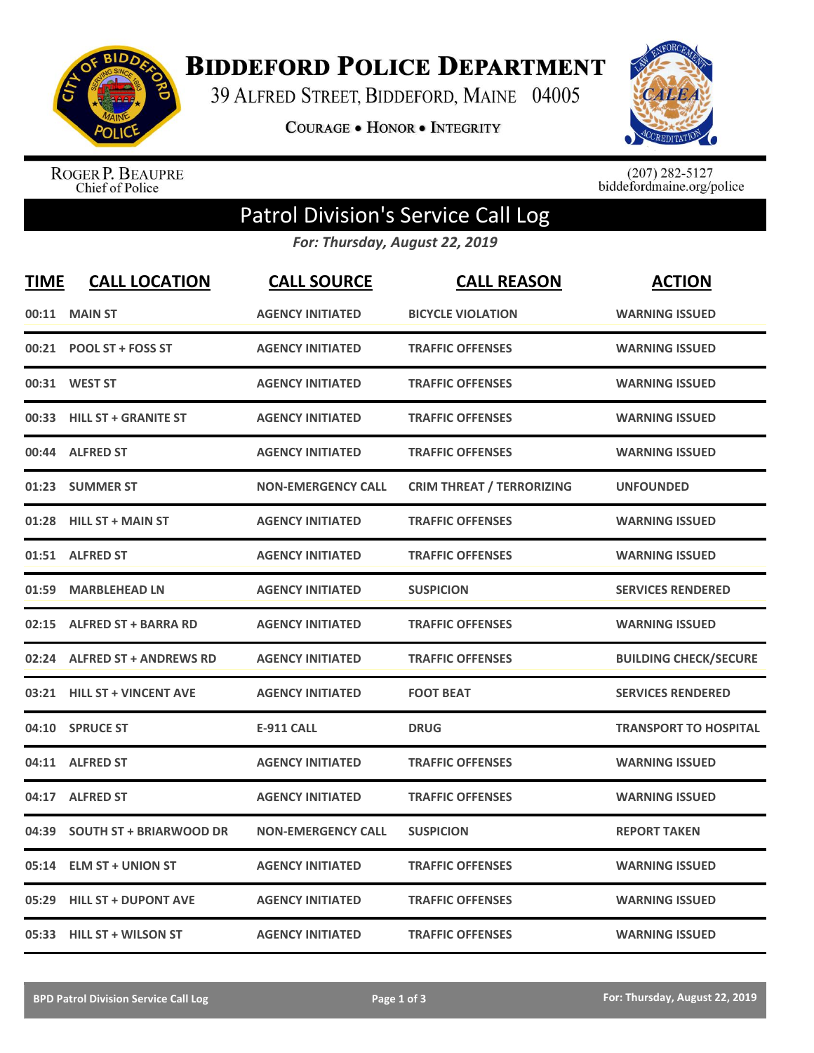

**BIDDEFORD POLICE DEPARTMENT** 

39 ALFRED STREET, BIDDEFORD, MAINE 04005

**COURAGE . HONOR . INTEGRITY** 



ROGER P. BEAUPRE<br>Chief of Police

 $(207)$  282-5127<br>biddefordmaine.org/police

## Patrol Division's Service Call Log

*For: Thursday, August 22, 2019*

| <b>TIME</b> | <b>CALL LOCATION</b>           | <b>CALL SOURCE</b>        | <b>CALL REASON</b>               | <b>ACTION</b>                |
|-------------|--------------------------------|---------------------------|----------------------------------|------------------------------|
| 00:11       | <b>MAIN ST</b>                 | <b>AGENCY INITIATED</b>   | <b>BICYCLE VIOLATION</b>         | <b>WARNING ISSUED</b>        |
|             | 00:21 POOL ST + FOSS ST        | <b>AGENCY INITIATED</b>   | <b>TRAFFIC OFFENSES</b>          | <b>WARNING ISSUED</b>        |
|             | 00:31 WEST ST                  | <b>AGENCY INITIATED</b>   | <b>TRAFFIC OFFENSES</b>          | <b>WARNING ISSUED</b>        |
| 00:33       | <b>HILL ST + GRANITE ST</b>    | <b>AGENCY INITIATED</b>   | <b>TRAFFIC OFFENSES</b>          | <b>WARNING ISSUED</b>        |
| 00:44       | <b>ALFRED ST</b>               | <b>AGENCY INITIATED</b>   | <b>TRAFFIC OFFENSES</b>          | <b>WARNING ISSUED</b>        |
|             | 01:23 SUMMER ST                | <b>NON-EMERGENCY CALL</b> | <b>CRIM THREAT / TERRORIZING</b> | <b>UNFOUNDED</b>             |
| 01:28       | <b>HILL ST + MAIN ST</b>       | <b>AGENCY INITIATED</b>   | <b>TRAFFIC OFFENSES</b>          | <b>WARNING ISSUED</b>        |
|             | 01:51 ALFRED ST                | <b>AGENCY INITIATED</b>   | <b>TRAFFIC OFFENSES</b>          | <b>WARNING ISSUED</b>        |
| 01:59       | <b>MARBLEHEAD LN</b>           | <b>AGENCY INITIATED</b>   | <b>SUSPICION</b>                 | <b>SERVICES RENDERED</b>     |
| 02:15       | <b>ALFRED ST + BARRA RD</b>    | <b>AGENCY INITIATED</b>   | <b>TRAFFIC OFFENSES</b>          | <b>WARNING ISSUED</b>        |
|             | 02:24 ALFRED ST + ANDREWS RD   | <b>AGENCY INITIATED</b>   | <b>TRAFFIC OFFENSES</b>          | <b>BUILDING CHECK/SECURE</b> |
|             | 03:21 HILL ST + VINCENT AVE    | <b>AGENCY INITIATED</b>   | <b>FOOT BEAT</b>                 | <b>SERVICES RENDERED</b>     |
|             | 04:10 SPRUCE ST                | <b>E-911 CALL</b>         | <b>DRUG</b>                      | <b>TRANSPORT TO HOSPITAL</b> |
| 04:11       | <b>ALFRED ST</b>               | <b>AGENCY INITIATED</b>   | <b>TRAFFIC OFFENSES</b>          | <b>WARNING ISSUED</b>        |
| 04:17       | <b>ALFRED ST</b>               | <b>AGENCY INITIATED</b>   | <b>TRAFFIC OFFENSES</b>          | <b>WARNING ISSUED</b>        |
| 04:39       | <b>SOUTH ST + BRIARWOOD DR</b> | <b>NON-EMERGENCY CALL</b> | <b>SUSPICION</b>                 | <b>REPORT TAKEN</b>          |
| 05:14       | <b>ELM ST + UNION ST</b>       | <b>AGENCY INITIATED</b>   | <b>TRAFFIC OFFENSES</b>          | <b>WARNING ISSUED</b>        |
| 05:29       | <b>HILL ST + DUPONT AVE</b>    | <b>AGENCY INITIATED</b>   | <b>TRAFFIC OFFENSES</b>          | <b>WARNING ISSUED</b>        |
|             | 05:33 HILL ST + WILSON ST      | <b>AGENCY INITIATED</b>   | <b>TRAFFIC OFFENSES</b>          | <b>WARNING ISSUED</b>        |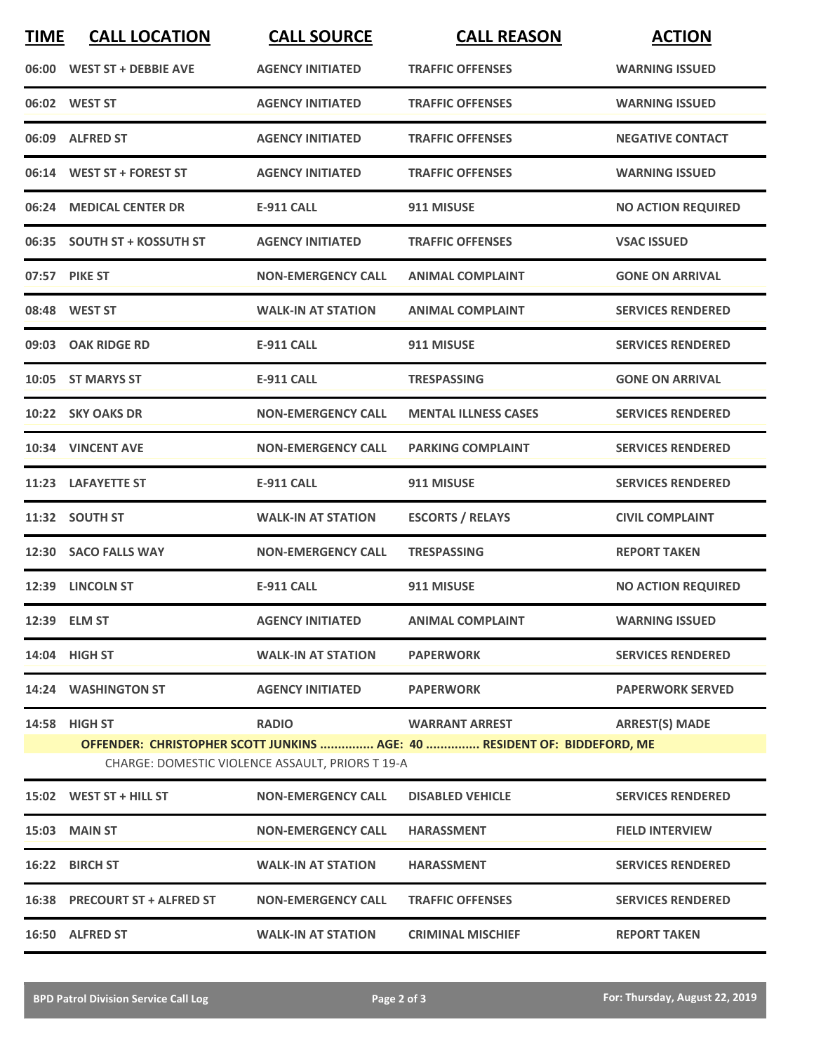| <b>TIME</b> | <b>CALL LOCATION</b>          | <b>CALL SOURCE</b>                                               | <b>CALL REASON</b>                                                                                | <b>ACTION</b>             |
|-------------|-------------------------------|------------------------------------------------------------------|---------------------------------------------------------------------------------------------------|---------------------------|
|             | 06:00 WEST ST + DEBBIE AVE    | <b>AGENCY INITIATED</b>                                          | <b>TRAFFIC OFFENSES</b>                                                                           | <b>WARNING ISSUED</b>     |
|             | 06:02 WEST ST                 | <b>AGENCY INITIATED</b>                                          | <b>TRAFFIC OFFENSES</b>                                                                           | <b>WARNING ISSUED</b>     |
|             | 06:09 ALFRED ST               | <b>AGENCY INITIATED</b>                                          | <b>TRAFFIC OFFENSES</b>                                                                           | <b>NEGATIVE CONTACT</b>   |
|             | 06:14 WEST ST + FOREST ST     | <b>AGENCY INITIATED</b>                                          | <b>TRAFFIC OFFENSES</b>                                                                           | <b>WARNING ISSUED</b>     |
|             | 06:24 MEDICAL CENTER DR       | <b>E-911 CALL</b>                                                | 911 MISUSE                                                                                        | <b>NO ACTION REQUIRED</b> |
|             | 06:35 SOUTH ST + KOSSUTH ST   | <b>AGENCY INITIATED</b>                                          | <b>TRAFFIC OFFENSES</b>                                                                           | <b>VSAC ISSUED</b>        |
|             | 07:57 PIKE ST                 | <b>NON-EMERGENCY CALL</b>                                        | <b>ANIMAL COMPLAINT</b>                                                                           | <b>GONE ON ARRIVAL</b>    |
|             | 08:48 WEST ST                 | <b>WALK-IN AT STATION</b>                                        | <b>ANIMAL COMPLAINT</b>                                                                           | <b>SERVICES RENDERED</b>  |
|             | 09:03 OAK RIDGE RD            | <b>E-911 CALL</b>                                                | 911 MISUSE                                                                                        | <b>SERVICES RENDERED</b>  |
|             | 10:05 ST MARYS ST             | <b>E-911 CALL</b>                                                | <b>TRESPASSING</b>                                                                                | <b>GONE ON ARRIVAL</b>    |
|             | 10:22 SKY OAKS DR             | <b>NON-EMERGENCY CALL</b>                                        | <b>MENTAL ILLNESS CASES</b>                                                                       | <b>SERVICES RENDERED</b>  |
|             | 10:34 VINCENT AVE             | <b>NON-EMERGENCY CALL</b>                                        | <b>PARKING COMPLAINT</b>                                                                          | <b>SERVICES RENDERED</b>  |
|             | 11:23 LAFAYETTE ST            | <b>E-911 CALL</b>                                                | 911 MISUSE                                                                                        | <b>SERVICES RENDERED</b>  |
|             | 11:32 SOUTH ST                | <b>WALK-IN AT STATION</b>                                        | <b>ESCORTS / RELAYS</b>                                                                           | <b>CIVIL COMPLAINT</b>    |
|             | 12:30 SACO FALLS WAY          | <b>NON-EMERGENCY CALL</b>                                        | <b>TRESPASSING</b>                                                                                | <b>REPORT TAKEN</b>       |
|             | 12:39 LINCOLN ST              | <b>E-911 CALL</b>                                                | 911 MISUSE                                                                                        | <b>NO ACTION REQUIRED</b> |
|             | 12:39 ELM ST                  | <b>AGENCY INITIATED</b>                                          | <b>ANIMAL COMPLAINT</b>                                                                           | <b>WARNING ISSUED</b>     |
|             | 14:04 HIGH ST                 | <b>WALK-IN AT STATION</b>                                        | <b>PAPERWORK</b>                                                                                  | <b>SERVICES RENDERED</b>  |
|             | 14:24 WASHINGTON ST           | <b>AGENCY INITIATED</b>                                          | <b>PAPERWORK</b>                                                                                  | <b>PAPERWORK SERVED</b>   |
|             | 14:58 HIGH ST                 | <b>RADIO</b><br>CHARGE: DOMESTIC VIOLENCE ASSAULT, PRIORS T 19-A | <b>WARRANT ARREST</b><br>OFFENDER: CHRISTOPHER SCOTT JUNKINS  AGE: 40  RESIDENT OF: BIDDEFORD, ME | <b>ARREST(S) MADE</b>     |
|             | 15:02 WEST ST + HILL ST       | <b>NON-EMERGENCY CALL</b>                                        | <b>DISABLED VEHICLE</b>                                                                           | <b>SERVICES RENDERED</b>  |
|             | <b>15:03 MAIN ST</b>          | <b>NON-EMERGENCY CALL</b>                                        | <b>HARASSMENT</b>                                                                                 | <b>FIELD INTERVIEW</b>    |
|             | 16:22 BIRCH ST                | <b>WALK-IN AT STATION</b>                                        | <b>HARASSMENT</b>                                                                                 | <b>SERVICES RENDERED</b>  |
|             | 16:38 PRECOURT ST + ALFRED ST | <b>NON-EMERGENCY CALL</b>                                        | <b>TRAFFIC OFFENSES</b>                                                                           | <b>SERVICES RENDERED</b>  |
|             | 16:50 ALFRED ST               | <b>WALK-IN AT STATION</b>                                        | <b>CRIMINAL MISCHIEF</b>                                                                          | <b>REPORT TAKEN</b>       |